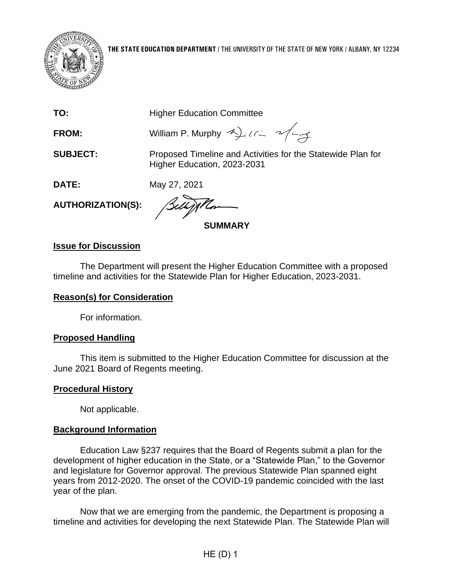

| TO: | <b>Higher Education Committee</b> |
|-----|-----------------------------------|

**FROM:** William P. Murphy 4) Using 2/4

**SUBJECT:** Proposed Timeline and Activities for the Statewide Plan for Higher Education, 2023-2031

**DATE:** May 27, 2021

**AUTHORIZATION(S):**

**SUMMARY**

## **Issue for Discussion**

The Department will present the Higher Education Committee with a proposed timeline and activities for the Statewide Plan for Higher Education, 2023-2031.

## **Reason(s) for Consideration**

For information.

## **Proposed Handling**

This item is submitted to the Higher Education Committee for discussion at the June 2021 Board of Regents meeting.

## **Procedural History**

Not applicable.

## **Background Information**

Education Law §237 requires that the Board of Regents submit a plan for the development of higher education in the State, or a "Statewide Plan," to the Governor and legislature for Governor approval. The previous Statewide Plan spanned eight years from 2012-2020. The onset of the COVID-19 pandemic coincided with the last year of the plan.

Now that we are emerging from the pandemic, the Department is proposing a timeline and activities for developing the next Statewide Plan. The Statewide Plan will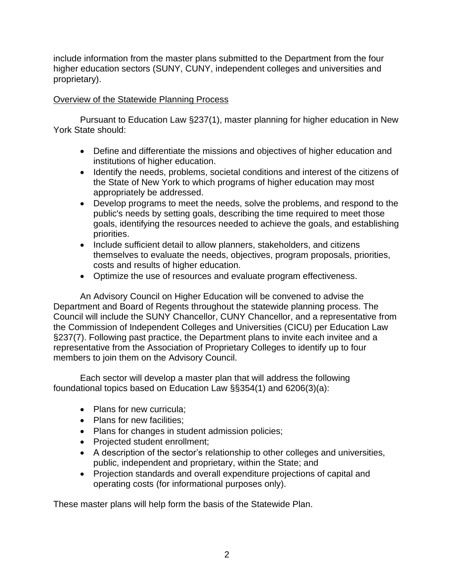include information from the master plans submitted to the Department from the four higher education sectors (SUNY, CUNY, independent colleges and universities and proprietary).

## Overview of the Statewide Planning Process

Pursuant to Education Law §237(1), master planning for higher education in New York State should:

- Define and differentiate the missions and objectives of higher education and institutions of higher education.
- Identify the needs, problems, societal conditions and interest of the citizens of the State of New York to which programs of higher education may most appropriately be addressed.
- Develop programs to meet the needs, solve the problems, and respond to the public's needs by setting goals, describing the time required to meet those goals, identifying the resources needed to achieve the goals, and establishing priorities.
- Include sufficient detail to allow planners, stakeholders, and citizens themselves to evaluate the needs, objectives, program proposals, priorities, costs and results of higher education.
- Optimize the use of resources and evaluate program effectiveness.

An Advisory Council on Higher Education will be convened to advise the Department and Board of Regents throughout the statewide planning process. The Council will include the SUNY Chancellor, CUNY Chancellor, and a representative from the Commission of Independent Colleges and Universities (CICU) per Education Law §237(7). Following past practice, the Department plans to invite each invitee and a representative from the Association of Proprietary Colleges to identify up to four members to join them on the Advisory Council.

Each sector will develop a master plan that will address the following foundational topics based on Education Law §§354(1) and 6206(3)(a):

- Plans for new curricula:
- Plans for new facilities;
- Plans for changes in student admission policies;
- Projected student enrollment;
- A description of the sector's relationship to other colleges and universities, public, independent and proprietary, within the State; and
- Projection standards and overall expenditure projections of capital and operating costs (for informational purposes only).

These master plans will help form the basis of the Statewide Plan.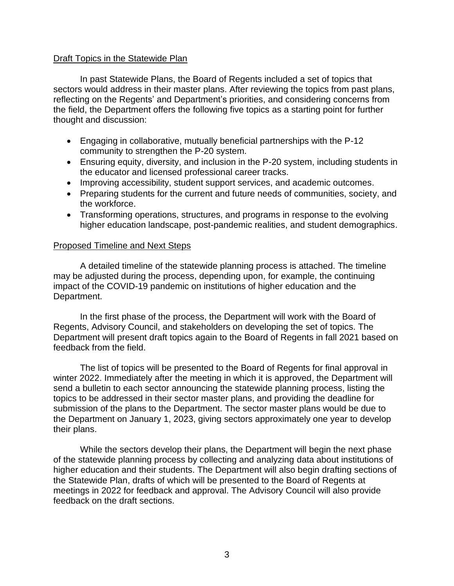#### Draft Topics in the Statewide Plan

In past Statewide Plans, the Board of Regents included a set of topics that sectors would address in their master plans. After reviewing the topics from past plans, reflecting on the Regents' and Department's priorities, and considering concerns from the field, the Department offers the following five topics as a starting point for further thought and discussion:

- Engaging in collaborative, mutually beneficial partnerships with the P-12 community to strengthen the P-20 system.
- Ensuring equity, diversity, and inclusion in the P-20 system, including students in the educator and licensed professional career tracks.
- Improving accessibility, student support services, and academic outcomes.
- Preparing students for the current and future needs of communities, society, and the workforce.
- Transforming operations, structures, and programs in response to the evolving higher education landscape, post-pandemic realities, and student demographics.

#### Proposed Timeline and Next Steps

A detailed timeline of the statewide planning process is attached. The timeline may be adjusted during the process, depending upon, for example, the continuing impact of the COVID-19 pandemic on institutions of higher education and the Department.

In the first phase of the process, the Department will work with the Board of Regents, Advisory Council, and stakeholders on developing the set of topics. The Department will present draft topics again to the Board of Regents in fall 2021 based on feedback from the field.

The list of topics will be presented to the Board of Regents for final approval in winter 2022. Immediately after the meeting in which it is approved, the Department will send a bulletin to each sector announcing the statewide planning process, listing the topics to be addressed in their sector master plans, and providing the deadline for submission of the plans to the Department. The sector master plans would be due to the Department on January 1, 2023, giving sectors approximately one year to develop their plans.

While the sectors develop their plans, the Department will begin the next phase of the statewide planning process by collecting and analyzing data about institutions of higher education and their students. The Department will also begin drafting sections of the Statewide Plan, drafts of which will be presented to the Board of Regents at meetings in 2022 for feedback and approval. The Advisory Council will also provide feedback on the draft sections.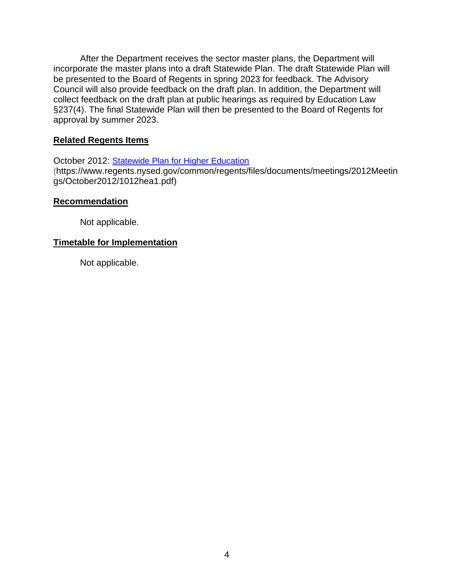After the Department receives the sector master plans, the Department will incorporate the master plans into a draft Statewide Plan. The draft Statewide Plan will be presented to the Board of Regents in spring 2023 for feedback. The Advisory Council will also provide feedback on the draft plan. In addition, the Department will collect feedback on the draft plan at public hearings as required by Education Law §237(4). The final Statewide Plan will then be presented to the Board of Regents for approval by summer 2023.

#### **Related Regents Items**

October 2012: [Statewide Plan for Higher Education](https://www.regents.nysed.gov/common/regents/files/documents/meetings/2012Meetings/October2012/1012hea1.pdf) (https://www.regents.nysed.gov/common/regents/files/documents/meetings/2012Meetin gs/October2012/1012hea1.pdf)

#### **Recommendation**

Not applicable.

### **Timetable for Implementation**

Not applicable.